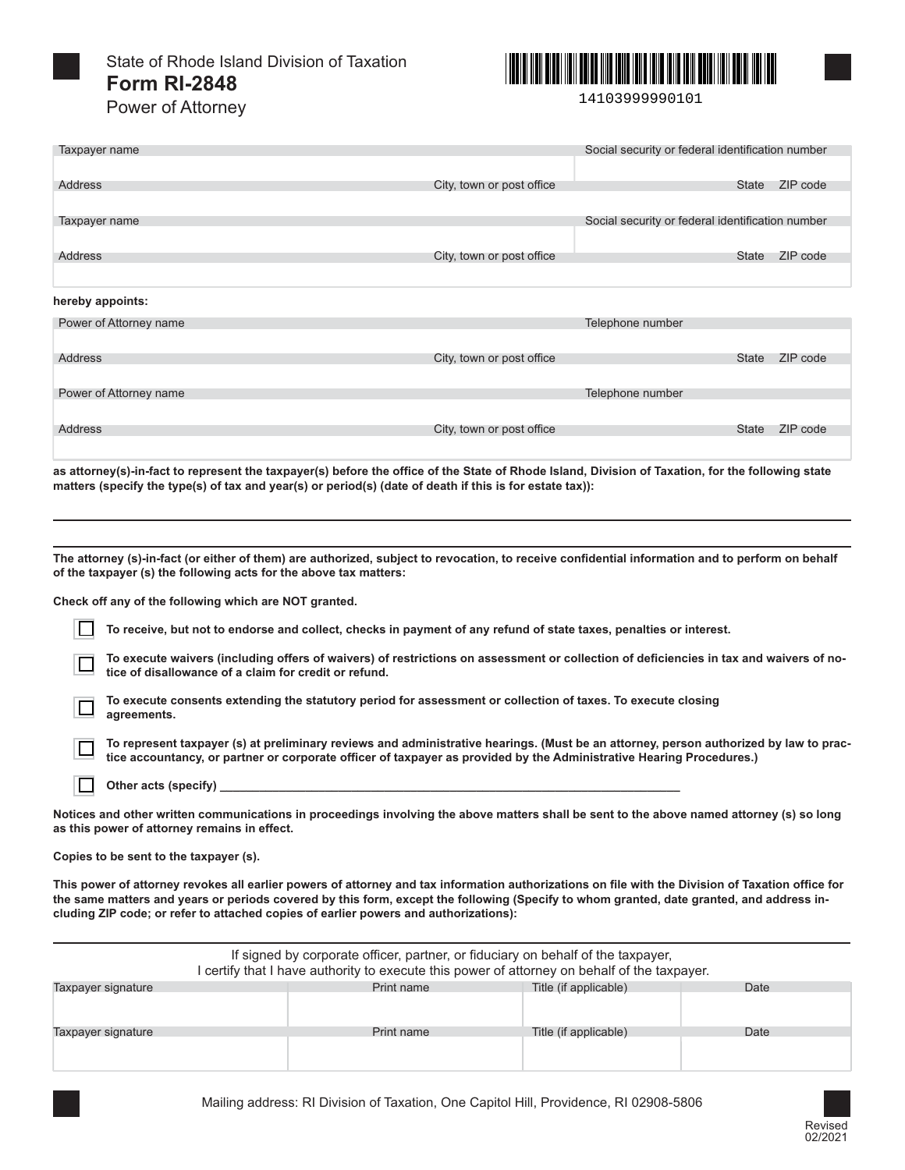

State of Rhode Island Division of Taxation **Form RI-2848**  Power of Attorney



14103999990101

| Taxpayer name          |                           | Social security or federal identification number |          |
|------------------------|---------------------------|--------------------------------------------------|----------|
|                        |                           |                                                  |          |
| Address                | City, town or post office | <b>State</b>                                     | ZIP code |
|                        |                           |                                                  |          |
| Taxpayer name          |                           | Social security or federal identification number |          |
|                        |                           |                                                  |          |
| Address                | City, town or post office | <b>State</b>                                     | ZIP code |
|                        |                           |                                                  |          |
| hereby appoints:       |                           |                                                  |          |
| Power of Attorney name |                           | Telephone number                                 |          |
|                        |                           |                                                  |          |
| Address                | City, town or post office | <b>State</b>                                     | ZIP code |
|                        |                           |                                                  |          |
| Power of Attorney name |                           | Telephone number                                 |          |
|                        |                           |                                                  |          |
| Address                | City, town or post office | State                                            | ZIP code |

**as attorney(s)-in-fact to represent the taxpayer(s) before the office of the State of Rhode Island, Division of Taxation, for the following state matters (specify the type(s) of tax and year(s) or period(s) (date of death if this is for estate tax)):**

**The attorney (s)-in-fact (or either of them) are authorized, subject to revocation, to receive confidential information and to perform on behalf of the taxpayer (s) the following acts for the above tax matters:** 

**Check off any of the following which are NOT granted.** 

**To receive, but not to endorse and collect, checks in payment of any refund of state taxes, penalties or interest.** 

**To execute waivers (including offers of waivers) of restrictions on assessment or collection of deficiencies in tax and waivers of notice of disallowance of a claim for credit or refund.** 

**To execute consents extending the statutory period for assessment or collection of taxes. To execute closing agreements.** 

**To represent taxpayer (s) at preliminary reviews and administrative hearings. (Must be an attorney, person authorized by law to practice accountancy, or partner or corporate officer of taxpayer as provided by the Administrative Hearing Procedures.)** 

 $\Box$ Other acts (specify)

 $\Box$ 

**Notices and other written communications in proceedings involving the above matters shall be sent to the above named attorney (s) so long as this power of attorney remains in effect.** 

**Copies to be sent to the taxpayer (s).** 

**This power of attorney revokes all earlier powers of attorney and tax information authorizations on file with the Division of Taxation office for the same matters and years or periods covered by this form, except the following (Specify to whom granted, date granted, and address including ZIP code; or refer to attached copies of earlier powers and authorizations):** 

| If signed by corporate officer, partner, or fiduciary on behalf of the taxpayer,<br>I certify that I have authority to execute this power of attorney on behalf of the taxpayer. |            |                       |      |
|----------------------------------------------------------------------------------------------------------------------------------------------------------------------------------|------------|-----------------------|------|
| Taxpayer signature                                                                                                                                                               | Print name | Title (if applicable) | Date |
|                                                                                                                                                                                  |            |                       |      |
| Taxpayer signature                                                                                                                                                               | Print name | Title (if applicable) | Date |
|                                                                                                                                                                                  |            |                       |      |